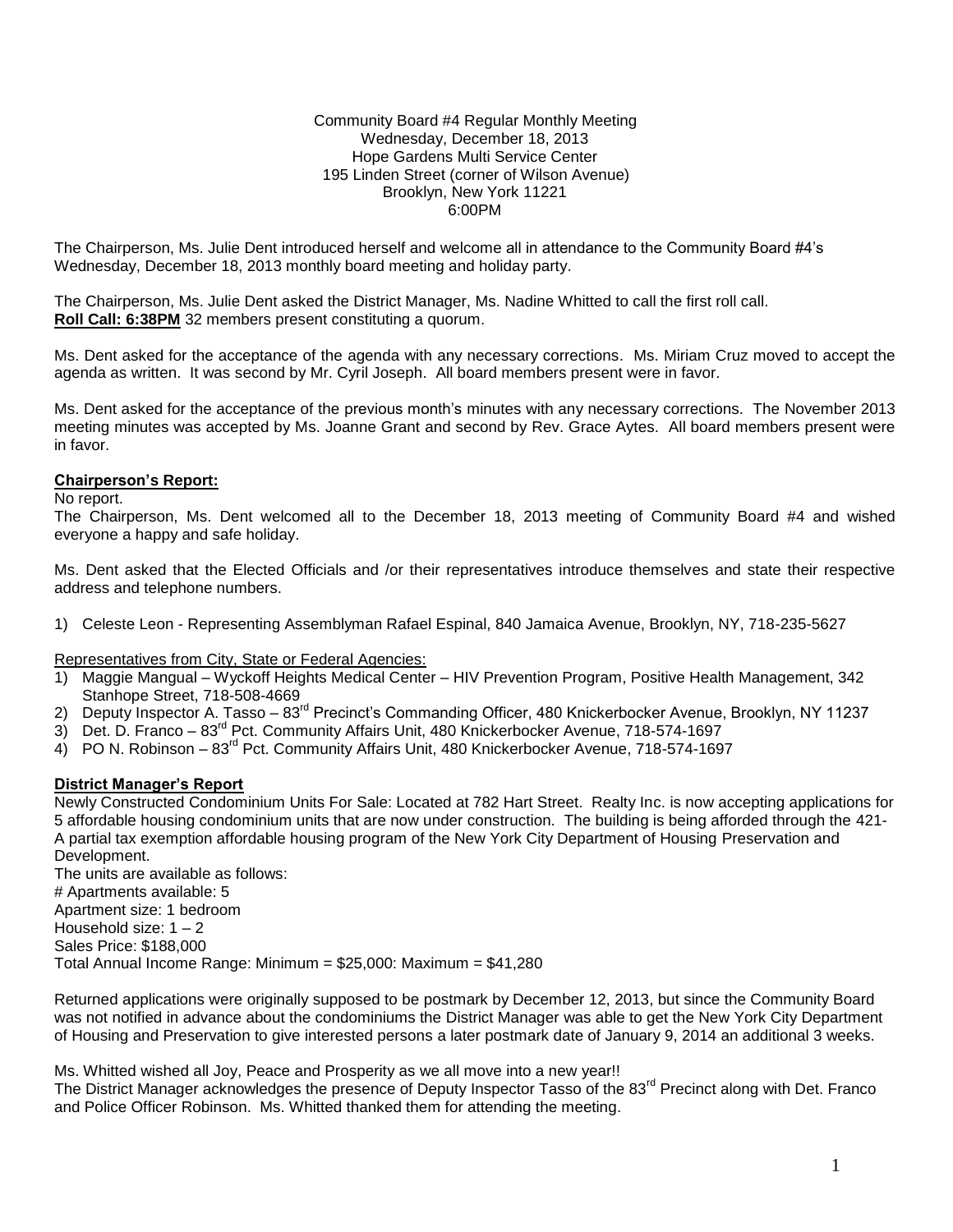Community Board #4 Regular Monthly Meeting Wednesday, December 18, 2013 Hope Gardens Multi Service Center 195 Linden Street (corner of Wilson Avenue) Brooklyn, New York 11221 6:00PM

The Chairperson, Ms. Julie Dent introduced herself and welcome all in attendance to the Community Board #4's Wednesday, December 18, 2013 monthly board meeting and holiday party.

The Chairperson, Ms. Julie Dent asked the District Manager, Ms. Nadine Whitted to call the first roll call. **Roll Call: 6:38PM** 32 members present constituting a quorum.

Ms. Dent asked for the acceptance of the agenda with any necessary corrections. Ms. Miriam Cruz moved to accept the agenda as written. It was second by Mr. Cyril Joseph. All board members present were in favor.

Ms. Dent asked for the acceptance of the previous month's minutes with any necessary corrections. The November 2013 meeting minutes was accepted by Ms. Joanne Grant and second by Rev. Grace Aytes. All board members present were in favor.

#### **Chairperson's Report:**

No report.

The Chairperson, Ms. Dent welcomed all to the December 18, 2013 meeting of Community Board #4 and wished everyone a happy and safe holiday.

Ms. Dent asked that the Elected Officials and /or their representatives introduce themselves and state their respective address and telephone numbers.

1) Celeste Leon - Representing Assemblyman Rafael Espinal, 840 Jamaica Avenue, Brooklyn, NY, 718-235-5627

Representatives from City, State or Federal Agencies:

- 1) Maggie Mangual Wyckoff Heights Medical Center HIV Prevention Program, Positive Health Management, 342 Stanhope Street, 718-508-4669
- 2) Deputy Inspector A. Tasso 83<sup>rd</sup> Precinct's Commanding Officer, 480 Knickerbocker Avenue, Brooklyn, NY 11237
- 3) Det. D. Franco 83rd Pct. Community Affairs Unit, 480 Knickerbocker Avenue, 718-574-1697
- 4) PO N. Robinson 83rd Pct. Community Affairs Unit, 480 Knickerbocker Avenue, 718-574-1697

#### **District Manager's Report**

Newly Constructed Condominium Units For Sale: Located at 782 Hart Street. Realty Inc. is now accepting applications for 5 affordable housing condominium units that are now under construction. The building is being afforded through the 421- A partial tax exemption affordable housing program of the New York City Department of Housing Preservation and Development.

The units are available as follows: # Apartments available: 5 Apartment size: 1 bedroom Household size:  $1 - 2$ Sales Price: \$188,000 Total Annual Income Range: Minimum = \$25,000: Maximum = \$41,280

Returned applications were originally supposed to be postmark by December 12, 2013, but since the Community Board was not notified in advance about the condominiums the District Manager was able to get the New York City Department of Housing and Preservation to give interested persons a later postmark date of January 9, 2014 an additional 3 weeks.

Ms. Whitted wished all Joy, Peace and Prosperity as we all move into a new year!!

The District Manager acknowledges the presence of Deputy Inspector Tasso of the 83<sup>rd</sup> Precinct along with Det. Franco and Police Officer Robinson. Ms. Whitted thanked them for attending the meeting.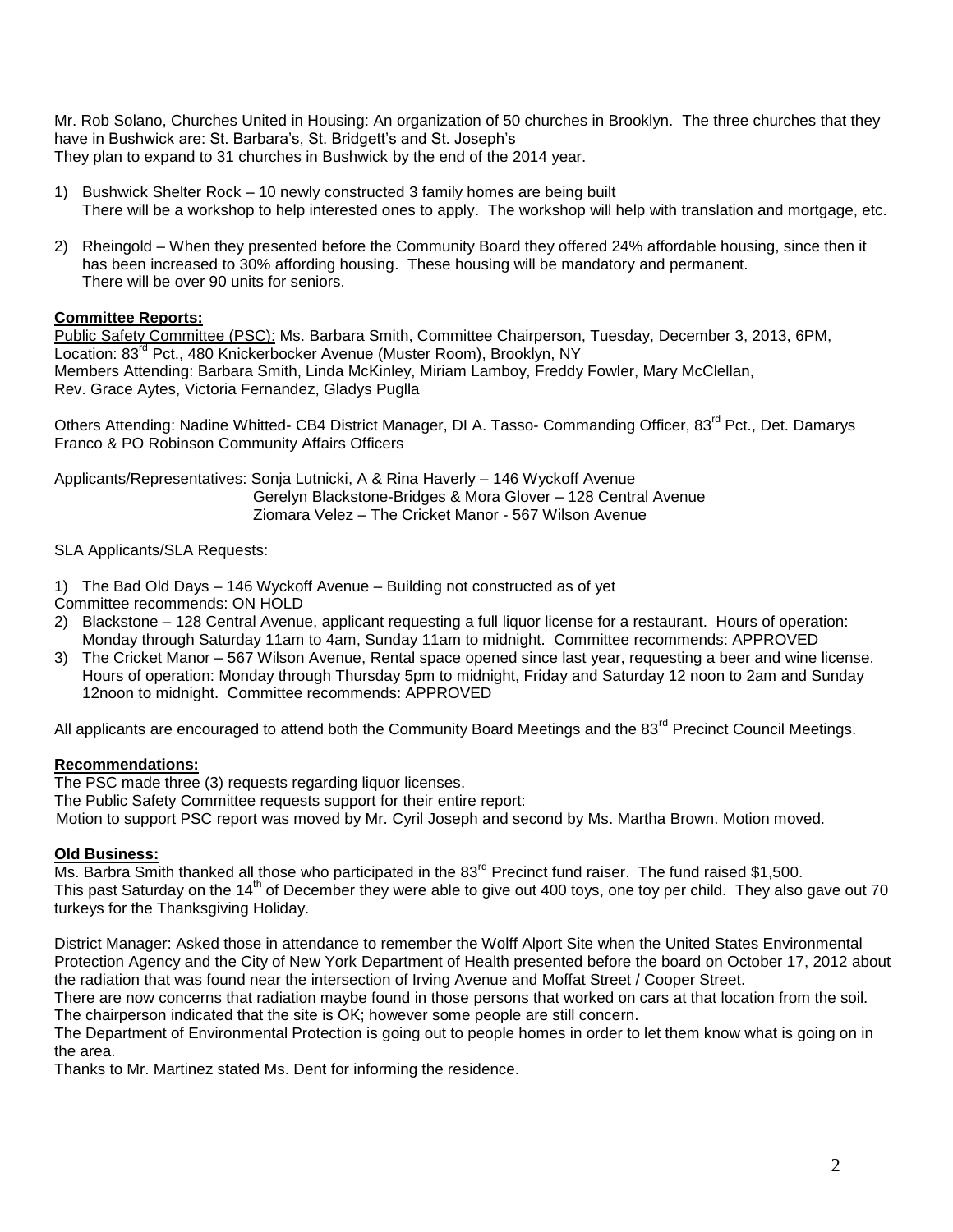Mr. Rob Solano, Churches United in Housing: An organization of 50 churches in Brooklyn. The three churches that they have in Bushwick are: St. Barbara's, St. Bridgett's and St. Joseph's They plan to expand to 31 churches in Bushwick by the end of the 2014 year.

- 1) Bushwick Shelter Rock 10 newly constructed 3 family homes are being built There will be a workshop to help interested ones to apply. The workshop will help with translation and mortgage, etc.
- 2) Rheingold When they presented before the Community Board they offered 24% affordable housing, since then it has been increased to 30% affording housing. These housing will be mandatory and permanent. There will be over 90 units for seniors.

# **Committee Reports:**

Public Safety Committee (PSC): Ms. Barbara Smith, Committee Chairperson, Tuesday, December 3, 2013, 6PM, Location: 83<sup>rd</sup> Pct., 480 Knickerbocker Avenue (Muster Room), Brooklyn, NY Members Attending: Barbara Smith, Linda McKinley, Miriam Lamboy, Freddy Fowler, Mary McClellan, Rev. Grace Aytes, Victoria Fernandez, Gladys Puglla

Others Attending: Nadine Whitted- CB4 District Manager, DI A. Tasso- Commanding Officer, 83<sup>rd</sup> Pct., Det. Damarys Franco & PO Robinson Community Affairs Officers

Applicants/Representatives: Sonja Lutnicki, A & Rina Haverly – 146 Wyckoff Avenue Gerelyn Blackstone-Bridges & Mora Glover – 128 Central Avenue Ziomara Velez – The Cricket Manor - 567 Wilson Avenue

SLA Applicants/SLA Requests:

- 1) The Bad Old Days 146 Wyckoff Avenue Building not constructed as of yet Committee recommends: ON HOLD
- 2) Blackstone 128 Central Avenue, applicant requesting a full liquor license for a restaurant. Hours of operation: Monday through Saturday 11am to 4am, Sunday 11am to midnight. Committee recommends: APPROVED
- 3) The Cricket Manor 567 Wilson Avenue, Rental space opened since last year, requesting a beer and wine license. Hours of operation: Monday through Thursday 5pm to midnight, Friday and Saturday 12 noon to 2am and Sunday 12noon to midnight. Committee recommends: APPROVED

All applicants are encouraged to attend both the Community Board Meetings and the 83<sup>rd</sup> Precinct Council Meetings.

# **Recommendations:**

The PSC made three (3) requests regarding liquor licenses. The Public Safety Committee requests support for their entire report: Motion to support PSC report was moved by Mr. Cyril Joseph and second by Ms. Martha Brown. Motion moved.

# **Old Business:**

Ms. Barbra Smith thanked all those who participated in the  $83<sup>rd</sup>$  Precinct fund raiser. The fund raised \$1,500. This past Saturday on the 14<sup>th</sup> of December they were able to give out 400 toys, one toy per child. They also gave out 70 turkeys for the Thanksgiving Holiday.

District Manager: Asked those in attendance to remember the Wolff Alport Site when the United States Environmental Protection Agency and the City of New York Department of Health presented before the board on October 17, 2012 about the radiation that was found near the intersection of Irving Avenue and Moffat Street / Cooper Street.

There are now concerns that radiation maybe found in those persons that worked on cars at that location from the soil. The chairperson indicated that the site is OK; however some people are still concern.

The Department of Environmental Protection is going out to people homes in order to let them know what is going on in the area.

Thanks to Mr. Martinez stated Ms. Dent for informing the residence.